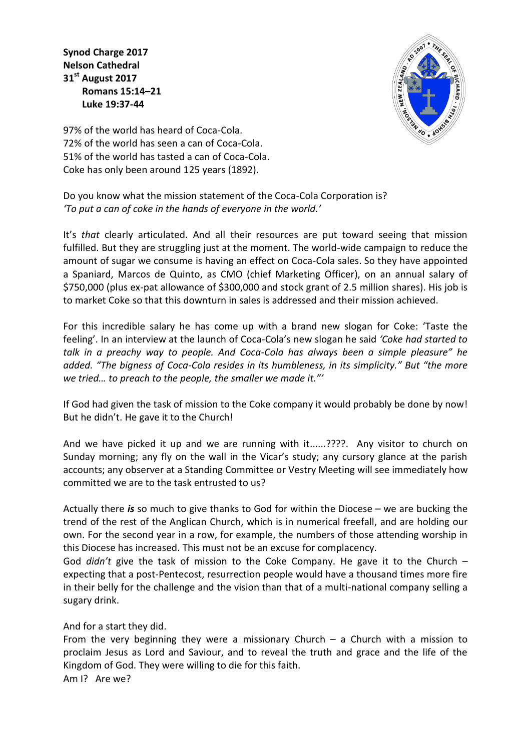**Synod Charge 2017 Nelson Cathedral 31st August 2017 Romans 15:14–21 Luke 19:37-44**



97% of the world has heard of Coca-Cola. 72% of the world has seen a can of Coca-Cola. 51% of the world has tasted a can of Coca-Cola. Coke has only been around 125 years (1892).

Do you know what the mission statement of the Coca-Cola Corporation is? *'To put a can of coke in the hands of everyone in the world.'*

It's *that* clearly articulated. And all their resources are put toward seeing that mission fulfilled. But they are struggling just at the moment. The world-wide campaign to reduce the amount of sugar we consume is having an effect on Coca-Cola sales. So they have appointed a Spaniard, Marcos de Quinto, as CMO (chief Marketing Officer), on an annual salary of \$750,000 (plus ex-pat allowance of \$300,000 and stock grant of 2.5 million shares). His job is to market Coke so that this downturn in sales is addressed and their mission achieved.

For this incredible salary he has come up with a brand new slogan for Coke: 'Taste the feeling'. In an interview at the launch of Coca-Cola's new slogan he said *'Coke had started to talk in a preachy way to people. And Coca-Cola has always been a simple pleasure" he added. "The bigness of Coca-Cola resides in its humbleness, in its simplicity." But "the more we tried… to preach to the people, the smaller we made it."'*

If God had given the task of mission to the Coke company it would probably be done by now! But he didn't. He gave it to the Church!

And we have picked it up and we are running with it......????. Any visitor to church on Sunday morning; any fly on the wall in the Vicar's study; any cursory glance at the parish accounts; any observer at a Standing Committee or Vestry Meeting will see immediately how committed we are to the task entrusted to us?

Actually there *is* so much to give thanks to God for within the Diocese – we are bucking the trend of the rest of the Anglican Church, which is in numerical freefall, and are holding our own. For the second year in a row, for example, the numbers of those attending worship in this Diocese has increased. This must not be an excuse for complacency.

God *didn't* give the task of mission to the Coke Company. He gave it to the Church – expecting that a post-Pentecost, resurrection people would have a thousand times more fire in their belly for the challenge and the vision than that of a multi-national company selling a sugary drink.

And for a start they did.

From the very beginning they were a missionary Church  $-$  a Church with a mission to proclaim Jesus as Lord and Saviour, and to reveal the truth and grace and the life of the Kingdom of God. They were willing to die for this faith.

Am I? Are we?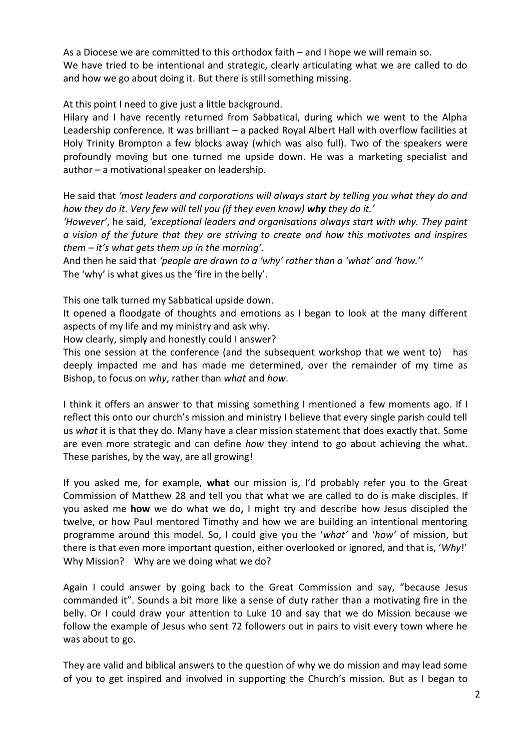As a Diocese we are committed to this orthodox faith – and I hope we will remain so. We have tried to be intentional and strategic, clearly articulating what we are called to do and how we go about doing it. But there is still something missing.

At this point I need to give just a little background.

Hilary and I have recently returned from Sabbatical, during which we went to the Alpha Leadership conference. It was brilliant – a packed Royal Albert Hall with overflow facilities at Holy Trinity Brompton a few blocks away (which was also full). Two of the speakers were profoundly moving but one turned me upside down. He was a marketing specialist and author – a motivational speaker on leadership.

He said that *'most leaders and corporations will always start by telling you what they do and how they do it. Very few will tell you (if they even know) why they do it.'*

*'However'*, he said, *'exceptional leaders and organisations always start with why. They paint a vision of the future that they are striving to create and how this motivates and inspires them – it's what gets them up in the morning'*.

And then he said that *'people are drawn to a 'why' rather than a 'what' and 'how.*'' The 'why' is what gives us the 'fire in the belly'.

This one talk turned my Sabbatical upside down.

It opened a floodgate of thoughts and emotions as I began to look at the many different aspects of my life and my ministry and ask why.

How clearly, simply and honestly could I answer?

This one session at the conference (and the subsequent workshop that we went to) has deeply impacted me and has made me determined, over the remainder of my time as Bishop, to focus on *why*, rather than *what* and *how*.

I think it offers an answer to that missing something I mentioned a few moments ago. If I reflect this onto our church's mission and ministry I believe that every single parish could tell us *what* it is that they do. Many have a clear mission statement that does exactly that. Some are even more strategic and can define *how* they intend to go about achieving the what. These parishes, by the way, are all growing!

If you asked me, for example, **what** our mission is, I'd probably refer you to the Great Commission of Matthew 28 and tell you that what we are called to do is make disciples. If you asked me **how** we do what we do**,** I might try and describe how Jesus discipled the twelve, or how Paul mentored Timothy and how we are building an intentional mentoring programme around this model. So, I could give you the '*what'* and '*how'* of mission, but there is that even more important question, either overlooked or ignored, and that is, '*Why*!' Why Mission? Why are we doing what we do?

Again I could answer by going back to the Great Commission and say, "because Jesus commanded it". Sounds a bit more like a sense of duty rather than a motivating fire in the belly. Or I could draw your attention to Luke 10 and say that we do Mission because we follow the example of Jesus who sent 72 followers out in pairs to visit every town where he was about to go.

They are valid and biblical answers to the question of why we do mission and may lead some of you to get inspired and involved in supporting the Church's mission. But as I began to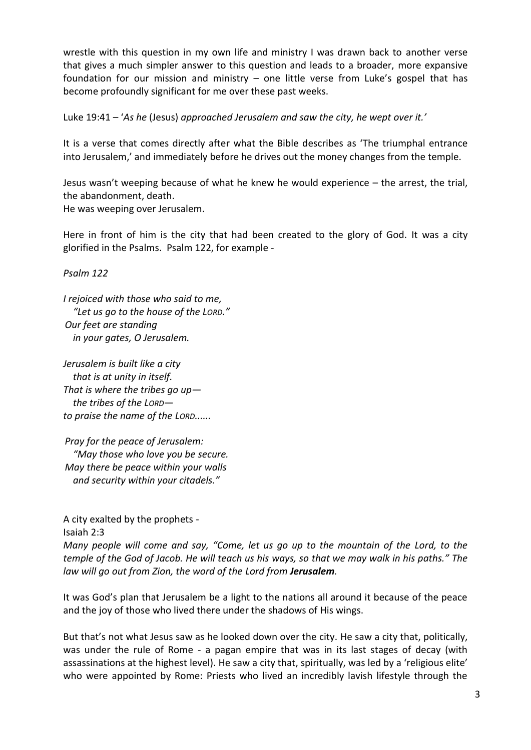wrestle with this question in my own life and ministry I was drawn back to another verse that gives a much simpler answer to this question and leads to a broader, more expansive foundation for our mission and ministry – one little verse from Luke's gospel that has become profoundly significant for me over these past weeks.

Luke 19:41 – '*As he* (Jesus) *approached Jerusalem and saw the city, he wept over it.'*

It is a verse that comes directly after what the Bible describes as 'The triumphal entrance into Jerusalem,' and immediately before he drives out the money changes from the temple.

Jesus wasn't weeping because of what he knew he would experience – the arrest, the trial, the abandonment, death. He was weeping over Jerusalem.

Here in front of him is the city that had been created to the glory of God. It was a city glorified in the Psalms. Psalm 122, for example -

*Psalm 122*

*I rejoiced with those who said to me, "Let us go to the house of the LORD." Our feet are standing in your gates, O Jerusalem.*

*Jerusalem is built like a city that is at unity in itself. That is where the tribes go up the tribes of the LORD to praise the name of the LORD......*

*Pray for the peace of Jerusalem: "May those who love you be secure. May there be peace within your walls and security within your citadels."*

A city exalted by the prophets -

Isaiah 2:3

*Many people will come and say, "Come, let us go up to the mountain of the Lord, to the temple of the God of Jacob. He will teach us his ways, so that we may walk in his paths." The law will go out from Zion, the word of the Lord from Jerusalem.*

It was God's plan that Jerusalem be a light to the nations all around it because of the peace and the joy of those who lived there under the shadows of His wings.

But that's not what Jesus saw as he looked down over the city. He saw a city that, politically, was under the rule of Rome - a pagan empire that was in its last stages of decay (with assassinations at the highest level). He saw a city that, spiritually, was led by a 'religious elite' who were appointed by Rome: Priests who lived an incredibly lavish lifestyle through the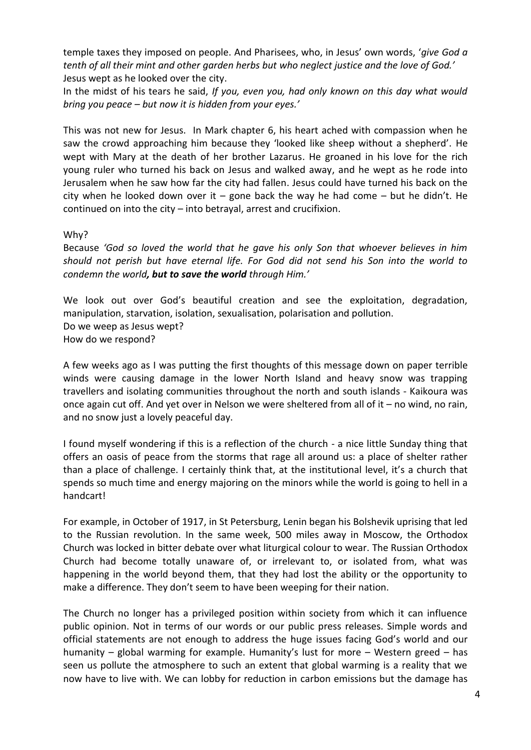temple taxes they imposed on people. And Pharisees, who, in Jesus' own words, '*give God a tenth of all their mint and other garden herbs but who neglect justice and the love of God.'* Jesus wept as he looked over the city.

In the midst of his tears he said, *If you, even you, had only known on this day what would bring you peace – but now it is hidden from your eyes.'*

This was not new for Jesus. In Mark chapter 6, his heart ached with compassion when he saw the crowd approaching him because they 'looked like sheep without a shepherd'. He wept with Mary at the death of her brother Lazarus. He groaned in his love for the rich young ruler who turned his back on Jesus and walked away, and he wept as he rode into Jerusalem when he saw how far the city had fallen. Jesus could have turned his back on the city when he looked down over it – gone back the way he had come – but he didn't. He continued on into the city – into betrayal, arrest and crucifixion.

Why?

Because *'God so loved the world that he gave his only Son that whoever believes in him should not perish but have eternal life. For God did not send his Son into the world to condemn the world, but to save the world through Him.'*

We look out over God's beautiful creation and see the exploitation, degradation, manipulation, starvation, isolation, sexualisation, polarisation and pollution. Do we weep as Jesus wept? How do we respond?

A few weeks ago as I was putting the first thoughts of this message down on paper terrible winds were causing damage in the lower North Island and heavy snow was trapping travellers and isolating communities throughout the north and south islands - Kaikoura was once again cut off. And yet over in Nelson we were sheltered from all of it – no wind, no rain, and no snow just a lovely peaceful day.

I found myself wondering if this is a reflection of the church - a nice little Sunday thing that offers an oasis of peace from the storms that rage all around us: a place of shelter rather than a place of challenge. I certainly think that, at the institutional level, it's a church that spends so much time and energy majoring on the minors while the world is going to hell in a handcart!

For example, in October of 1917, in St Petersburg, Lenin began his Bolshevik uprising that led to the Russian revolution. In the same week, 500 miles away in Moscow, the Orthodox Church was locked in bitter debate over what liturgical colour to wear. The Russian Orthodox Church had become totally unaware of, or irrelevant to, or isolated from, what was happening in the world beyond them, that they had lost the ability or the opportunity to make a difference. They don't seem to have been weeping for their nation.

The Church no longer has a privileged position within society from which it can influence public opinion. Not in terms of our words or our public press releases. Simple words and official statements are not enough to address the huge issues facing God's world and our humanity – global warming for example. Humanity's lust for more – Western greed – has seen us pollute the atmosphere to such an extent that global warming is a reality that we now have to live with. We can lobby for reduction in carbon emissions but the damage has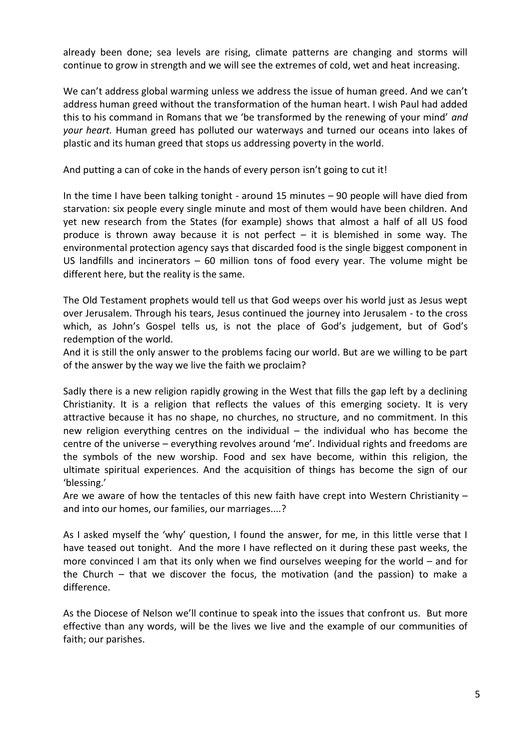already been done; sea levels are rising, climate patterns are changing and storms will continue to grow in strength and we will see the extremes of cold, wet and heat increasing.

We can't address global warming unless we address the issue of human greed. And we can't address human greed without the transformation of the human heart. I wish Paul had added this to his command in Romans that we 'be transformed by the renewing of your mind' *and your heart.* Human greed has polluted our waterways and turned our oceans into lakes of plastic and its human greed that stops us addressing poverty in the world.

And putting a can of coke in the hands of every person isn't going to cut it!

In the time I have been talking tonight - around 15 minutes – 90 people will have died from starvation: six people every single minute and most of them would have been children. And yet new research from the States (for example) shows that almost a half of all US food produce is thrown away because it is not perfect  $-$  it is blemished in some way. The environmental protection agency says that discarded food is the single biggest component in US landfills and incinerators – 60 million tons of food every year. The volume might be different here, but the reality is the same.

The Old Testament prophets would tell us that God weeps over his world just as Jesus wept over Jerusalem. Through his tears, Jesus continued the journey into Jerusalem - to the cross which, as John's Gospel tells us, is not the place of God's judgement, but of God's redemption of the world.

And it is still the only answer to the problems facing our world. But are we willing to be part of the answer by the way we live the faith we proclaim?

Sadly there is a new religion rapidly growing in the West that fills the gap left by a declining Christianity. It is a religion that reflects the values of this emerging society. It is very attractive because it has no shape, no churches, no structure, and no commitment. In this new religion everything centres on the individual  $-$  the individual who has become the centre of the universe – everything revolves around 'me'. Individual rights and freedoms are the symbols of the new worship. Food and sex have become, within this religion, the ultimate spiritual experiences. And the acquisition of things has become the sign of our 'blessing.'

Are we aware of how the tentacles of this new faith have crept into Western Christianity – and into our homes, our families, our marriages....?

As I asked myself the 'why' question, I found the answer, for me, in this little verse that I have teased out tonight. And the more I have reflected on it during these past weeks, the more convinced I am that its only when we find ourselves weeping for the world – and for the Church – that we discover the focus, the motivation (and the passion) to make a difference.

As the Diocese of Nelson we'll continue to speak into the issues that confront us. But more effective than any words, will be the lives we live and the example of our communities of faith; our parishes.